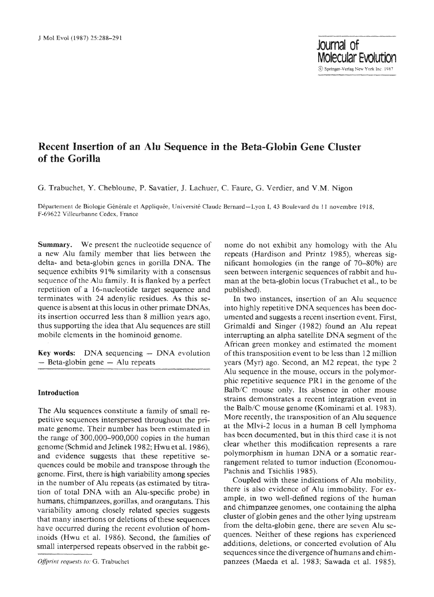# **Recent Insertion of an Alu Sequence in the Beta-Globin Gene Cluster of the Gorilla**

G. Trabuchet, Y. Chebloune, P. Savatier, J. Lachuer, C. Faure, G. Verdier, and V.M. Nigon

Département de Biologie Générale et Appliquée, Université Claude Bernard--Lyon I, 43 Boulevard du 11 novembre 1918. F-69622 Villeurbanne Cedex, France

Summary. We present the nucleotide sequence of a new Alu family member that lies between the delta- and beta-globin genes in goriila DNA. The sequence exhibits 91% similarity with a consensus sequence of the Alu family. It is flanked by a perfect repetition of a 16-nucleotide target sequence and terminates with 24 adenytic residues. As this sequence is absent at this locus in other primate DNAs, its insertion occurred less than 8 million years ago, thus supporting the idea that Alu sequences are **still**  mobile elements in the hominoid genome.

Key words: DNA sequencing  $-$  DNA evolution  $-$  Beta-globin gene  $-$  Alu repeats

## **Introduction**

The Alu sequences constitute a family of small repetitive sequences interspersed throughout the primate genome. Their number has been estimated in the range of 300,000--900,000 copies in the human genome (Schmid and Jelinek 1982; Hwu et al. 1986), and evidence suggests that these repetitive sequences could be mobile and transpose through the genome. First, there is high variability among species in the number of Alu repeats (as estimated by titration of total DNA with an Alu-specific probe) in humans, chimpanzees, gorillas, and orangutans. This variability among closely related species suggests that many insertions or deletions of these sequences have occurred during the recent evolution of hominoids (Hwu et al. 1986). Second, the families of small interpersed repeats observed in the rabbit gehome do not exhibit any homology with the Alu repcats (Hardison and Printz 1985), whereas significant homologies (in the range of 70-80%) are seen between intergenic sequences of rabbit and human at the beta-globin locus (Trabuchet et al., to be published).

In two instances, insertion of an Alu sequence into highly repetitive DNA sequences has been documented and suggests a recent insertion event. First, Grimaldi and Singer (1982) found an Alu repeat interrupting an alpha satellite DNA segment of the African green monkey and estimated the moment of this transposition event to be less than 12 million years (Myr) ago. Second, an M2 repeat, the type 2 Alu sequence in the mouse, occurs in the polymorphic repetitive sequence PR1 in the genome of the Balb/C mouse only. Its absence in other mouse strains demonstrates a recent integration event in the Balb/C mouse genome (Kominami et al. 1983). More recently, the transposition of an Alu sequence at the Mlvi-2 locus in a human B cell lymphoma has been documented, but in this third case it is not clear whether this modification represents a rare polymorphism in human DNA or a somatic rearrangement related to tumor induction (Economou-Pachnis and Tsichlis 1985).

Coupled with these indications of Alu mobility, there is also evidence of Alu immobility. For example, in two well-defined regions of the human and chimpanzee genomes, one containing the alpha cluster ofglobin genes and the other lying upstream from the delta-globin gene, there are seven Alu sequences. Neither of these regions has experienced additions, deletions, or concerted evolution of Alu sequences since the divergence of humans and chimpanzees (Maeda et al. 1983; Sawada et al. 1985).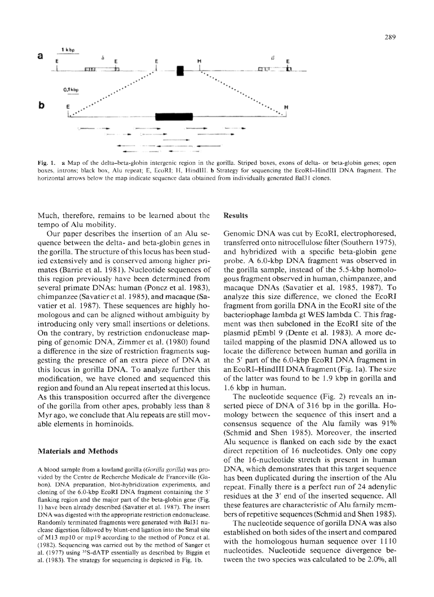

Fig. 1. a Map of the delta-beta-globin intergenic region in the gorilla. Striped boxes, exons of delta- or beta-globin genes; open boxes, introns; black box, Alu repeat; E, EcoRI; H, HindIII. b Strategy for sequencing the EcoRI-HindIII DNA fragment. The horizontal arrows below the map indicate sequence data obtained from individually generated Bal31 clones.

Much, therefore, remains to be learned about the tempo of Alu mobility,.

Our paper describes the insertion of an Alu se~ quence between the delta- and beta-globin genes in the gorilla. The structure of this locus has been studied extensively and is conserved among higher primates (Barrie et al. 1981). Nucleotide sequences of this region previously have been determined from several primate DNAs: human (Poncz et al. 1983), chimpanzee (Savatier et al. 1985), and macaque (Savatier et al. 1987). These sequences are highly homologous and can be aligned without ambiguity by introducing only very small insertions or deletions. On the contrary, by restriction endonuclease mapping of genomic DNA, Zirnmer et al. (1980) found a difference in the size of restriction fragments suggesting the presence of an extra piece of DNA a1 this locus in gorilla DNA. To analyze further this modification, we have cloned and sequenced this region and found an Alu repeat inserted at this locus. As this transposition occurred after the divergence of the gorilla from other apes, probably less than 8 Myr ago, we conclude that Alu repeats are still movable elements in hominoids.

### **Materials and Methods**

A blood sample from a lowland gorilla (Gorilla gorilla) was provided by the Centre de Recherche Medicale de *Franceville* (Gabon). DNA preparation, blot-hybridization experiments, and cloning of the G0-kbp EcoRI DNA fragment containing the 5' flanking region and the major part of the beta-globin gene (Fig. l) have been already described (Savatier et al. 1987). The insert DNA was digested with the appropriate restriction endonuclease. Randomly terminated fragments were generated with Bal31 nuclease digestion followed by blunt-end ligation into the Smal site of M13 mp10 or mp19 according to the method of Poncz et al. (1982). Sequencing was carried out by the method of Sanger et al.  $(1977)$  using <sup>35</sup>S-dATP essentially as described by Biggin et al. (1983). The strategy for sequencing is depicted in Fig. 1b.

### **Results**

Genomic DNA was cut by EcoRI, electrophoresed, transferred onto nitrocellulose filter (Southern 1975), and hybridized with a specific beta~globin gene probe. A 6.0-kbp DNA fragment was observed in the gorilla sample, instead of the 5.5-kbp homologous fragment observed in human, chimpanzee, and macaque DNAs (Savatier et al. 1985, 1987). To analyze this size difference, we cloned the EcoRI fragment from gorilla DNA in the EcoRI site of the bacteriophage lambda gt WES lambda C. This fragment was then subcloned in the EcoRI site of the plasmid pEmbl 9 (Dente et al. 1983). A more detailed mapping of the plasmid DNA allowed us to locate the difference between human and gorilla in the  $5'$  part of the  $6.0$ -kbp EcoRI DNA fragment in an EcoRI-HindlII DNA fragment (Fig. Ia). The size of the latter was found to be 1.9 kbp in gorilla and 1.6 kbp in humam

The nucleotide sequence (Fig. 2) reveals an inserted piece of DNA of 316 bp in the gorilla. Homology between the sequence of this insert and a consensus sequence of the Alu family was 91% (Schmid and Shen I985). Moreover, the inserted Alu sequence is flanked on each side by the exact direct repetition of 16 nucleotides. Only one copy of the 16-nucleotide stretch is present in human *DNA,* which demonstrates that this target sequence has been duplicated during the insertion of the Alu repeat. Finally there is a perfect run of 24 adenylic residues at the 3' end of the inserted sequence. All these features are characteristic of Alu family members of repetitive sequences (Schmid and Shen 1985).

The nucleotide sequence of gorilla DNA was also established on both sides of the insert and compared with the homologous human sequence over  $1110$ nucleotides Nucleotide sequence divergence between the two species was calculated to be 2.0%, all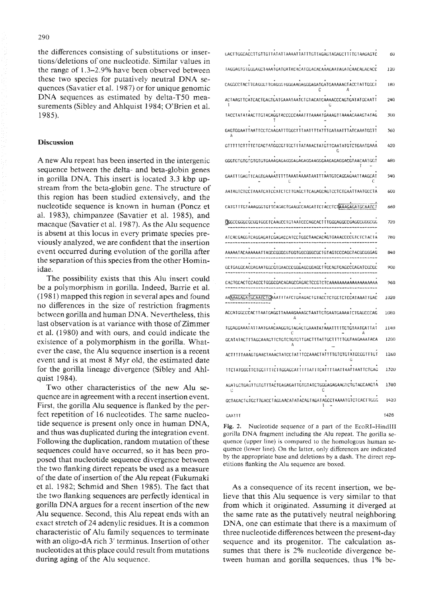the differences consisting of substitutions or insertions/deletions of one nuclcotide, Similar values in the range of 1.3-2.9% have been observed between these two species for putatively neutral DNA sequences (Savatier et al. 1987) or for unique genomic DNA sequences as estimated by delta-T50 measurements (Sibley and Ahlquist 1984; O'Brien et al. 1985).

#### **Discussion**

A new AIu repeat has been inserted in the intergenic sequence between the delta- and beta-globin genes in gorilla DNA. This insert is located 3.3 kbp upstream from the beta-globin gene. The structure of this region has been studied extensively, and the nucleotide sequence is known in human (Poncz et al, 1983), chimpanzee (Savatier et al. 1985), and macaque (Savatier et al. 1987). As the Alu sequence is absent at this locus in every primate species previously analyzed, we are confident that the insertion event occurred during evolution of the gorilla after the separation of this species from the other Hominidae,

The possibility exists that this Alu insert could be a polymorpbism in gorilla. Indeed, Barrie et al.  $(1981)$  mapped this region in several apes and found no differences in the size of restriction fragments between gorilla and human DNA. Nevertheless, this last observation is at variance with those of Zimmer et al. (1980) and with ours, and could indicate the existence of a polyrnorphism in the gorilla. Whatever the case, the Alu sequence insertion is a recent event and is at most 8 Myr old, the estimated date for the gorilla lineage divergence (Sibley and Ahlquist 1984).

Two other characteristics of the new Alu sequence are in agreement with a recent insertion event. First, the gorilla Alu sequence is flanked by the perfect repetition of 16 nucleotides. The same nucleotide sequence is present only once in human DNA, and thus was duplicated during the integration event. Following the duplicatiom random mutation of these sequences could have occurred, so it has been proposed that nucleotide sequence divergence between the two flanking direct repeats be used as a measure of the date of insertion of the Alu repeat (Fukumaki et al, 1982; Schmid and Shen 1985). The fact that the two flanking sequences are perfectly identical in gorilla DNA argues for a recent insertion of the new Alu sequence. Second, this Alu repeat ends with an exact stretch of 24 adenylic residues. It is a common characteristic of Alu Family sequences to terminate with an oligo-dA rich 3' terminus. Insertion of other nucleotides at this place could result from mutations during aging of the Alu sequence.

~;ACT TG~CACC TTGTTGI IAIAT ~ AAAAI TAH IGT TAGAgTAGAGCT IT TG I AAGAGTC 6O *T AGGAG [ G HK~GAI]C ~ AAA T GA ~ UA ~ AC AC A [ CGAC ACAAA~AA T A~ ~ EAAC~ E;AC ACC*  120 180 CAGCCEZTACT tEAGG~ l H;AtK;G ~ GGGAAGAGGGAGATGAIGAAAAA(~TACC [ A [ TCCC C A 240 ACTAAGTTCATCACTGAGIGATGATGAATAATCTGTACATCAAACCCAGTGATATGCAATT<br>|G TACCTA TA TAACTTG TACAGGTACCCCCAAAT T TAAAAT GAAAG TTAAAACAAG TA TAG 300 36Q GAGTGGAATTAATTCCTCAAGATTTGGCTTTAATTTTATTTGATAATTTATCAAATGGTT A 420 GTTT3 ~ CTTTTCTCACTATGCCCT TCCH TATAAACIATGT TCAATATGTCTGAATGAAA G GGG TG TG IGTG TGTG TGAAAGA(;A~I~GAGAGAGGAAGGGAAGAGAGGACGTAACAAI(;GT ago T 540 GAAIT I GAOTTEAGIGAAAAIT ITTAAATAAATAATTTAATGTEAGGAGAATTAAGEAT<br>| C AATAGTCTCCTAAATCATCCATCTCTTGAGCTTCAGAGCAGTCCTCTGAATTAATGCCTA 600 CATGTITGTAAAGGGTGTTCAGACTGAAGCCAAGATTCTACCTCTAAAGAGATGCAATCT 660  $\overline{\texttt{G}}$ GGCCGGCGCGGTGGCTCAAGCCTGTAATCCCAGCACTTTGGGAGGCCGAGGEGGCGG $^{+}$  72U  $A$ ICACGAGG $I$ CAGGAGATCGAGACCATCCTGGCTAACACAGTGAAACCCCCCTCTCTACTA $B$ AAAAATACAAAAATTAGCCGGCGTGGTGGCGGCGCGCTGTAGTCCCAGCTACGCGGAG 840  $-$ GCTGAGCCAGAGAATGCC $\hat{G}$ GAGCCGGAGCCGAGCCTTGCAGTGAGCCGAGATCCCC $-$  900 CACTGCACTCCA~CC TGGGCGACA~AGC~AGAC TCCGT CI~ AAAAAAAAAAAAAAAAAAA 960 AAAAAGAGATGCAATCTCAAATTTATCTGAAGACTGTACCTCTGCTCTCCATAAAITGAC 1020  ${\bf ACCATGGCCCACTTAATGAGGTTAAAAGAAAGCTAATTCTGAATGAAAATCTGAGCCCAG = 1080}$ A I[;GAGGAAAT At IAAIIiAA~AAgGTG TAgACT{;AAAIATAAATT I l'Iel~ AATGA l IAI IIAH C A GCATATACTTIAGCAAAGTTCTGTCTGTGTGACTTTAITGCTTTTGGTAAGAAATACA 1200<br>A ACTITITAAAGTGAACTAAACTATCCIATTICCAAACTATTIGTGTGTATCCGGTITGT 1260<br>G I TCT ATGGGTTCTGGI I TTCT I GGAGCAT I TTAT I TCATTTAATTAATTAAT TCTGAG 1320 AGATGCTGAGI IGTGTYTACTGAGAGATTGTGTATCTGGGAGAGAGTCTGTAGCAAGTA 1380 .<br>C *cc:a~;Acn;~ccT:cacct~ac~;aacatataca~Ta~AtA~cc:aaaa:~c:cacHr, l;~ 1~2o 1*   $\text{GAA}$ TTT the contract of the contract of the contract of the contract of the contract of the contract of the contract of the contract of the contract of the contract of the contract of the contract of the contract of t

Fig. 2, Nucleotide sequence of a part of the EcoRl-HindIlI gorilla DNA fragment including the Alu repeat. The gorilla sequence (upper line) is compared to the homologous human sequence (lower line). On the latter, only differences are indicated by the appropriate base and deletions by a dash, The direct repetitions flanking the Alu sequence are boxed.

As a consequence of its recent insertion, we believe that this AIu sequence is very similar to that from which it originated. Assuming it diverged at the same rate as the putatively neutral neighboring DNA, one can estimate that there is a maximum of three nucleotide differences between the present-day sequence and its progenitor. The calculation assumes that there is 2% nucleotide divergence between human and gorilla sequences, thus 1% be-